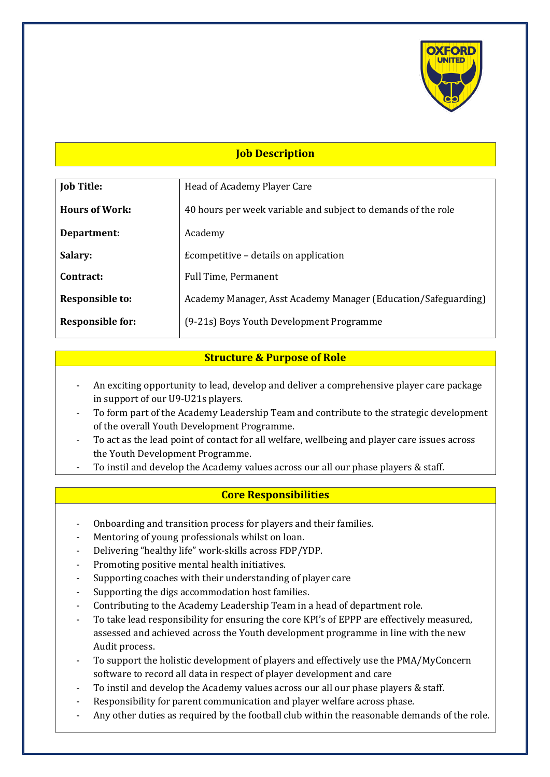

## **Job Description**

| <b>Job Title:</b>       | Head of Academy Player Care                                    |
|-------------------------|----------------------------------------------------------------|
| <b>Hours of Work:</b>   | 40 hours per week variable and subject to demands of the role  |
| Department:             | Academy                                                        |
| Salary:                 | Ecompetitive – details on application                          |
| Contract:               | <b>Full Time, Permanent</b>                                    |
| Responsible to:         | Academy Manager, Asst Academy Manager (Education/Safeguarding) |
| <b>Responsible for:</b> | (9-21s) Boys Youth Development Programme                       |

# **Structure & Purpose of Role**

- An exciting opportunity to lead, develop and deliver a comprehensive player care package in support of our U9-U21s players.
- To form part of the Academy Leadership Team and contribute to the strategic development of the overall Youth Development Programme.
- To act as the lead point of contact for all welfare, wellbeing and player care issues across the Youth Development Programme.
- To instil and develop the Academy values across our all our phase players & staff.

# **Core Responsibilities**

- Onboarding and transition process for players and their families.
- Mentoring of young professionals whilst on loan.
- Delivering "healthy life" work-skills across FDP/YDP.
- Promoting positive mental health initiatives.
- Supporting coaches with their understanding of player care
- Supporting the digs accommodation host families.
- Contributing to the Academy Leadership Team in a head of department role.
- To take lead responsibility for ensuring the core KPI's of EPPP are effectively measured, assessed and achieved across the Youth development programme in line with the new Audit process.
- To support the holistic development of players and effectively use the PMA/MyConcern software to record all data in respect of player development and care
- To instil and develop the Academy values across our all our phase players & staff.
- Responsibility for parent communication and player welfare across phase.
- Any other duties as required by the football club within the reasonable demands of the role.